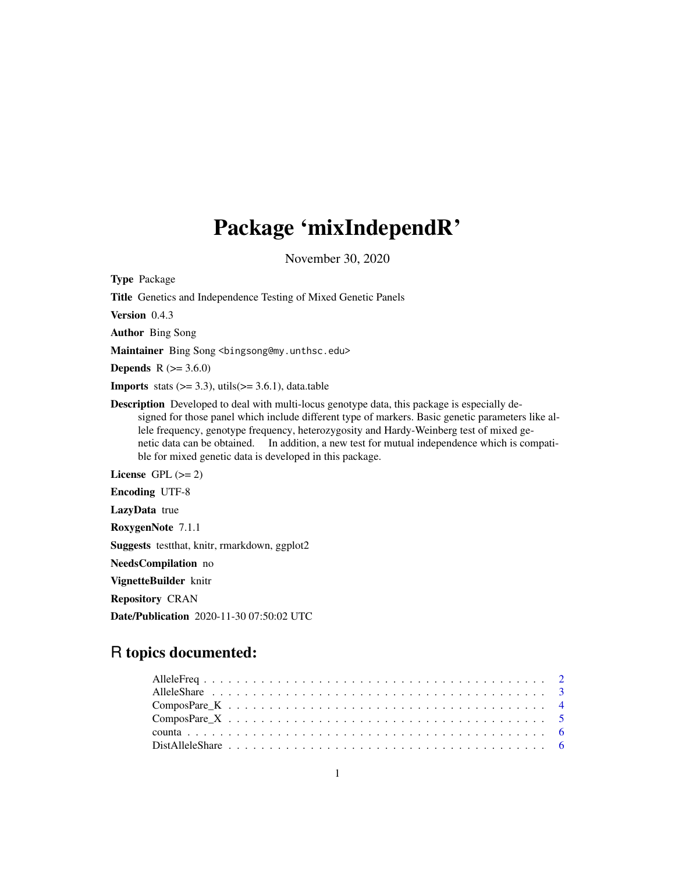## Package 'mixIndependR'

November 30, 2020

Type Package

Title Genetics and Independence Testing of Mixed Genetic Panels

Version 0.4.3

Author Bing Song

Maintainer Bing Song <br />bingsong@my.unthsc.edu>

**Depends**  $R (= 3.6.0)$ 

**Imports** stats  $(>= 3.3)$ , utils $(>= 3.6.1)$ , data.table

Description Developed to deal with multi-locus genotype data, this package is especially designed for those panel which include different type of markers. Basic genetic parameters like allele frequency, genotype frequency, heterozygosity and Hardy-Weinberg test of mixed genetic data can be obtained. In addition, a new test for mutual independence which is compatible for mixed genetic data is developed in this package.

License GPL  $(>= 2)$ 

Encoding UTF-8

LazyData true

RoxygenNote 7.1.1

Suggests testthat, knitr, rmarkdown, ggplot2

NeedsCompilation no

VignetteBuilder knitr

Repository CRAN

Date/Publication 2020-11-30 07:50:02 UTC

## R topics documented: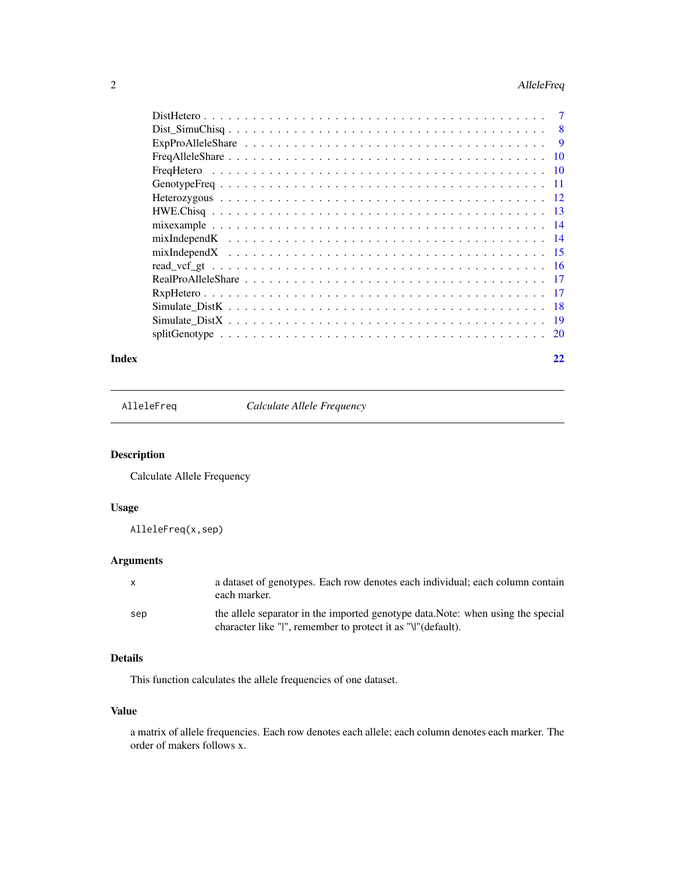## <span id="page-1-0"></span>2 AlleleFreq

|     | -8 |
|-----|----|
|     | 9  |
| -10 |    |
|     |    |
|     |    |
|     |    |
|     |    |
|     |    |
|     |    |
|     |    |
|     |    |
|     |    |
|     |    |
|     |    |
|     |    |
|     |    |
|     |    |

#### **Index** [22](#page-21-0)

AlleleFreq *Calculate Allele Frequency*

## Description

Calculate Allele Frequency

## Usage

AlleleFreq(x,sep)

## Arguments

| X   | a dataset of genotypes. Each row denotes each individual; each column contain<br>each marker.                                                    |
|-----|--------------------------------------------------------------------------------------------------------------------------------------------------|
| sep | the allele separator in the imported genotype data. Note: when using the special<br>character like "I", remember to protect it as "\" (default). |

## Details

This function calculates the allele frequencies of one dataset.

## Value

a matrix of allele frequencies. Each row denotes each allele; each column denotes each marker. The order of makers follows x.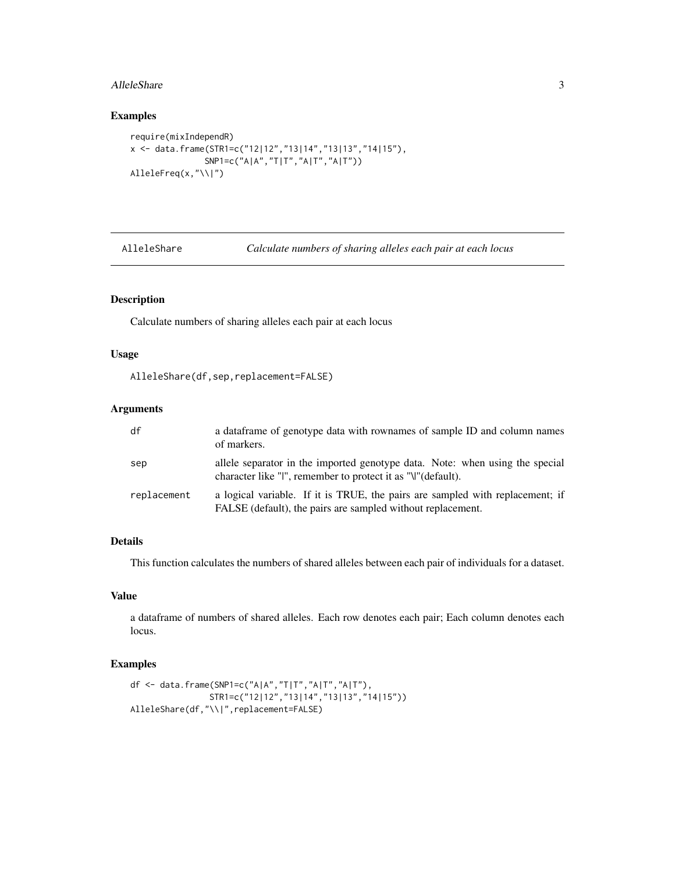#### <span id="page-2-0"></span>AlleleShare 3

#### Examples

```
require(mixIndependR)
x <- data.frame(STR1=c("12|12","13|14","13|13","14|15"),
               SNP1=c("A|A","T|T","A|T","A|T"))
AlleleFreq(x,"\\|")
```
AlleleShare *Calculate numbers of sharing alleles each pair at each locus*

## Description

Calculate numbers of sharing alleles each pair at each locus

#### Usage

```
AlleleShare(df,sep,replacement=FALSE)
```
#### Arguments

| df          | a data frame of genotype data with rownames of sample ID and column names<br>of markers.                                                     |
|-------------|----------------------------------------------------------------------------------------------------------------------------------------------|
| sep         | allele separator in the imported genotype data. Note: when using the special<br>character like "I", remember to protect it as "\" (default). |
| replacement | a logical variable. If it is TRUE, the pairs are sampled with replacement; if<br>FALSE (default), the pairs are sampled without replacement. |

#### Details

This function calculates the numbers of shared alleles between each pair of individuals for a dataset.

#### Value

a dataframe of numbers of shared alleles. Each row denotes each pair; Each column denotes each locus.

```
df <- data.frame(SNP1=c("A|A","T|T","A|T","A|T"),
               STR1=c("12|12","13|14","13|13","14|15"))
AlleleShare(df,"\\|",replacement=FALSE)
```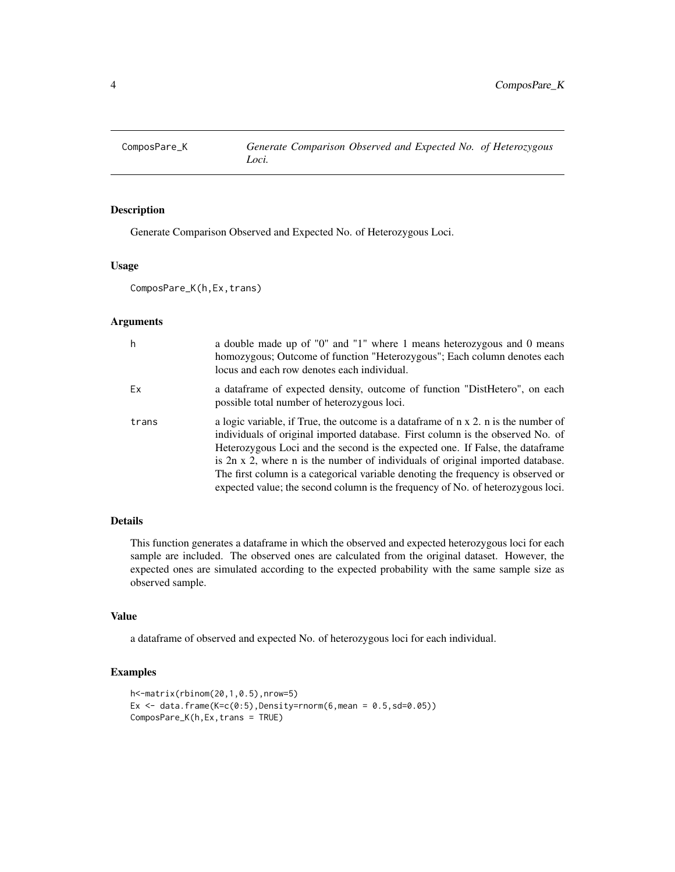<span id="page-3-0"></span>

Generate Comparison Observed and Expected No. of Heterozygous Loci.

## Usage

ComposPare\_K(h,Ex,trans)

## Arguments

| h     | a double made up of "0" and "1" where 1 means heterozygous and 0 means<br>homozygous; Outcome of function "Heterozygous"; Each column denotes each<br>locus and each row denotes each individual.                                                                                                                                                                                                                                                                                                              |
|-------|----------------------------------------------------------------------------------------------------------------------------------------------------------------------------------------------------------------------------------------------------------------------------------------------------------------------------------------------------------------------------------------------------------------------------------------------------------------------------------------------------------------|
| Ex    | a dataframe of expected density, outcome of function "DistHetero", on each<br>possible total number of heterozygous loci.                                                                                                                                                                                                                                                                                                                                                                                      |
| trans | a logic variable, if True, the outcome is a dataframe of n x 2. n is the number of<br>individuals of original imported database. First column is the observed No. of<br>Heterozygous Loci and the second is the expected one. If False, the dataframe<br>is 2n x 2, where n is the number of individuals of original imported database.<br>The first column is a categorical variable denoting the frequency is observed or<br>expected value; the second column is the frequency of No. of heterozygous loci. |

## Details

This function generates a dataframe in which the observed and expected heterozygous loci for each sample are included. The observed ones are calculated from the original dataset. However, the expected ones are simulated according to the expected probability with the same sample size as observed sample.

#### Value

a dataframe of observed and expected No. of heterozygous loci for each individual.

```
h<-matrix(rbinom(20,1,0.5),nrow=5)
Ex \leq data.frame(K=c(0:5),Density=rnorm(6,mean = 0.5,sd=0.05))
ComposPare_K(h,Ex,trans = TRUE)
```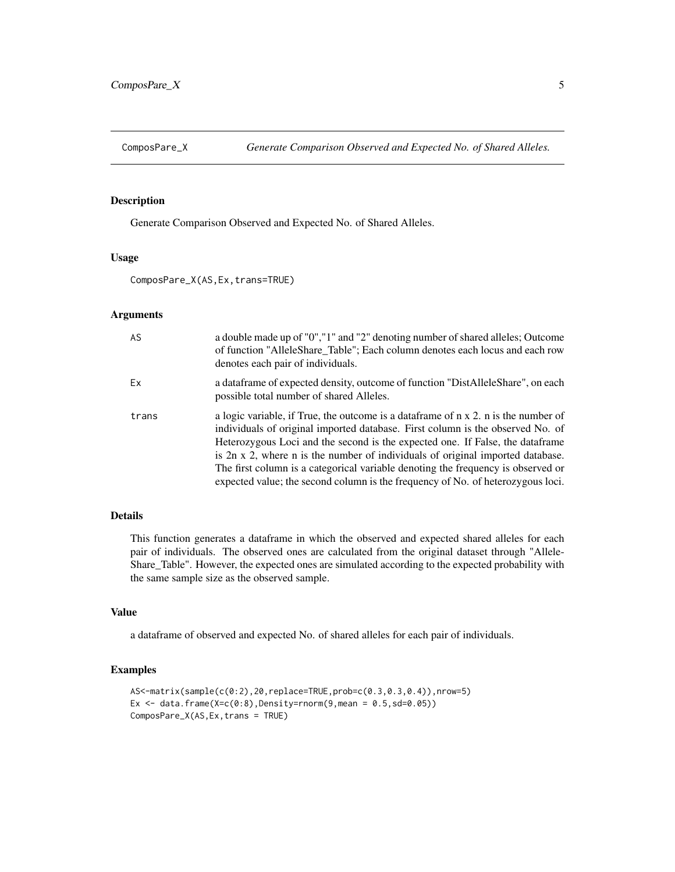<span id="page-4-0"></span>

Generate Comparison Observed and Expected No. of Shared Alleles.

#### Usage

ComposPare\_X(AS,Ex,trans=TRUE)

#### Arguments

| AS    | a double made up of "0", "1" and "2" denoting number of shared alleles; Outcome<br>of function "AlleleShare_Table"; Each column denotes each locus and each row<br>denotes each pair of individuals.                                                                                                                                                                                                                                                                                                                     |
|-------|--------------------------------------------------------------------------------------------------------------------------------------------------------------------------------------------------------------------------------------------------------------------------------------------------------------------------------------------------------------------------------------------------------------------------------------------------------------------------------------------------------------------------|
| Ex    | a data frame of expected density, outcome of function "DistAlleleShare", on each<br>possible total number of shared Alleles.                                                                                                                                                                                                                                                                                                                                                                                             |
| trans | a logic variable, if True, the outcome is a data frame of $n \times 2$ . n is the number of<br>individuals of original imported database. First column is the observed No. of<br>Heterozygous Loci and the second is the expected one. If False, the data frame<br>is 2n x 2, where n is the number of individuals of original imported database.<br>The first column is a categorical variable denoting the frequency is observed or<br>expected value; the second column is the frequency of No. of heterozygous loci. |

## Details

This function generates a dataframe in which the observed and expected shared alleles for each pair of individuals. The observed ones are calculated from the original dataset through "Allele-Share\_Table". However, the expected ones are simulated according to the expected probability with the same sample size as the observed sample.

## Value

a dataframe of observed and expected No. of shared alleles for each pair of individuals.

```
AS<-matrix(sample(c(0:2),20,replace=TRUE,prob=c(0.3,0.3,0.4)),nrow=5)
Ex \le data.frame(X=c(0:8),Density=rnorm(9,mean = 0.5,sd=0.05))
ComposPare_X(AS,Ex,trans = TRUE)
```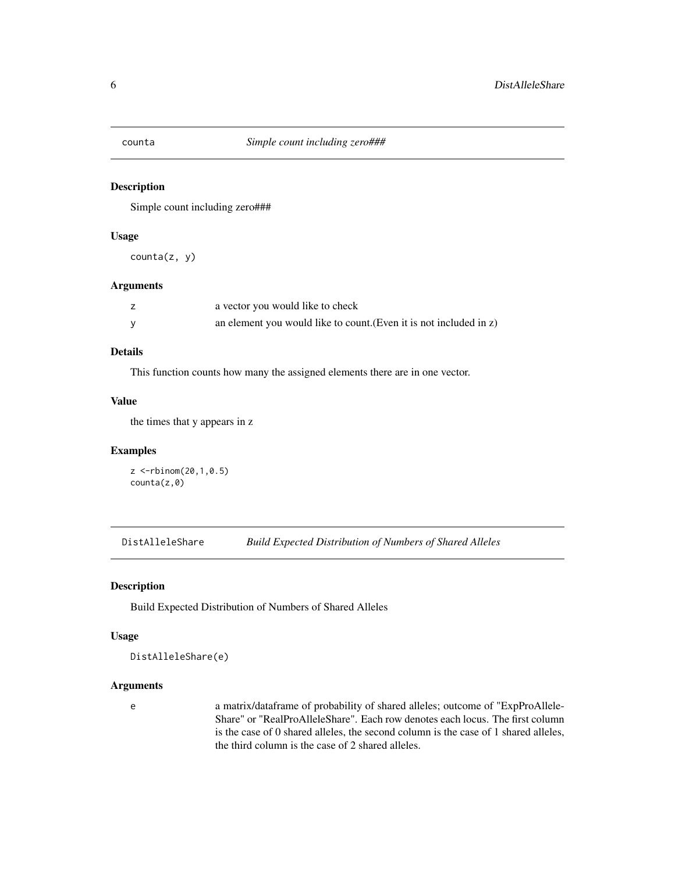<span id="page-5-0"></span>

Simple count including zero###

## Usage

counta(z, y)

## Arguments

| a vector you would like to check                                   |
|--------------------------------------------------------------------|
| an element you would like to count. (Even it is not included in z) |

## Details

This function counts how many the assigned elements there are in one vector.

## Value

the times that y appears in z

## Examples

```
z <-rbinom(20,1,0.5)
counta(z,0)
```
DistAlleleShare *Build Expected Distribution of Numbers of Shared Alleles*

## Description

Build Expected Distribution of Numbers of Shared Alleles

## Usage

```
DistAlleleShare(e)
```
#### Arguments

e a matrix/dataframe of probability of shared alleles; outcome of "ExpProAllele-Share" or "RealProAlleleShare". Each row denotes each locus. The first column is the case of 0 shared alleles, the second column is the case of 1 shared alleles, the third column is the case of 2 shared alleles.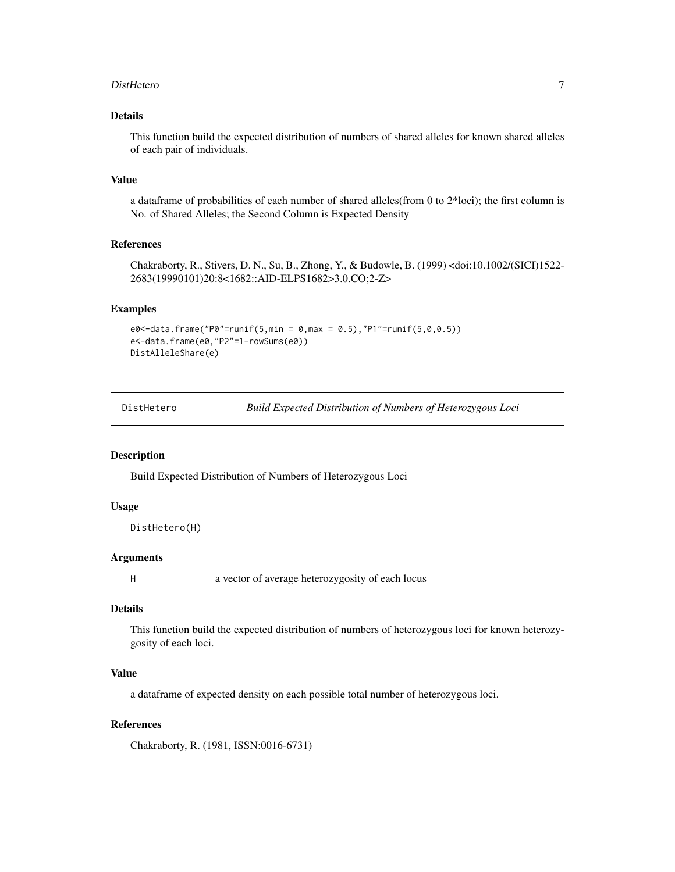#### <span id="page-6-0"></span>DistHetero 7

## Details

This function build the expected distribution of numbers of shared alleles for known shared alleles of each pair of individuals.

#### Value

a dataframe of probabilities of each number of shared alleles(from 0 to 2\*loci); the first column is No. of Shared Alleles; the Second Column is Expected Density

#### References

Chakraborty, R., Stivers, D. N., Su, B., Zhong, Y., & Budowle, B. (1999) <doi:10.1002/(SICI)1522- 2683(19990101)20:8<1682::AID-ELPS1682>3.0.CO;2-Z>

#### Examples

```
e0 < -data.frame("P0" = runif(5, min = 0, max = 0.5), "P1" = runif(5, 0, 0.5))e<-data.frame(e0,"P2"=1-rowSums(e0))
DistAlleleShare(e)
```

| DistHetero | <b>Build Expected Distribution of Numbers of Heterozygous Loci</b> |
|------------|--------------------------------------------------------------------|
|            |                                                                    |

#### Description

Build Expected Distribution of Numbers of Heterozygous Loci

#### Usage

```
DistHetero(H)
```
#### Arguments

H a vector of average heterozygosity of each locus

#### Details

This function build the expected distribution of numbers of heterozygous loci for known heterozygosity of each loci.

## Value

a dataframe of expected density on each possible total number of heterozygous loci.

## References

Chakraborty, R. (1981, ISSN:0016-6731)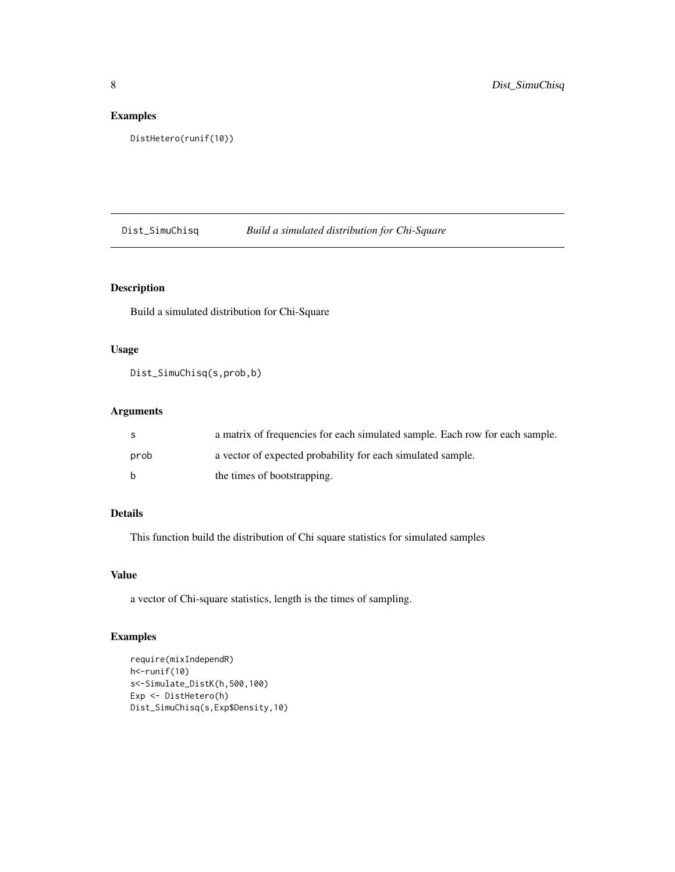## <span id="page-7-0"></span>Examples

```
DistHetero(runif(10))
```
Dist\_SimuChisq *Build a simulated distribution for Chi-Square*

## Description

Build a simulated distribution for Chi-Square

#### Usage

Dist\_SimuChisq(s,prob,b)

## Arguments

| -S           | a matrix of frequencies for each simulated sample. Each row for each sample. |
|--------------|------------------------------------------------------------------------------|
| prob         | a vector of expected probability for each simulated sample.                  |
| <sub>b</sub> | the times of bootstrapping.                                                  |

## Details

This function build the distribution of Chi square statistics for simulated samples

## Value

a vector of Chi-square statistics, length is the times of sampling.

```
require(mixIndependR)
h<-runif(10)
s<-Simulate_DistK(h,500,100)
Exp <- DistHetero(h)
Dist_SimuChisq(s,Exp$Density,10)
```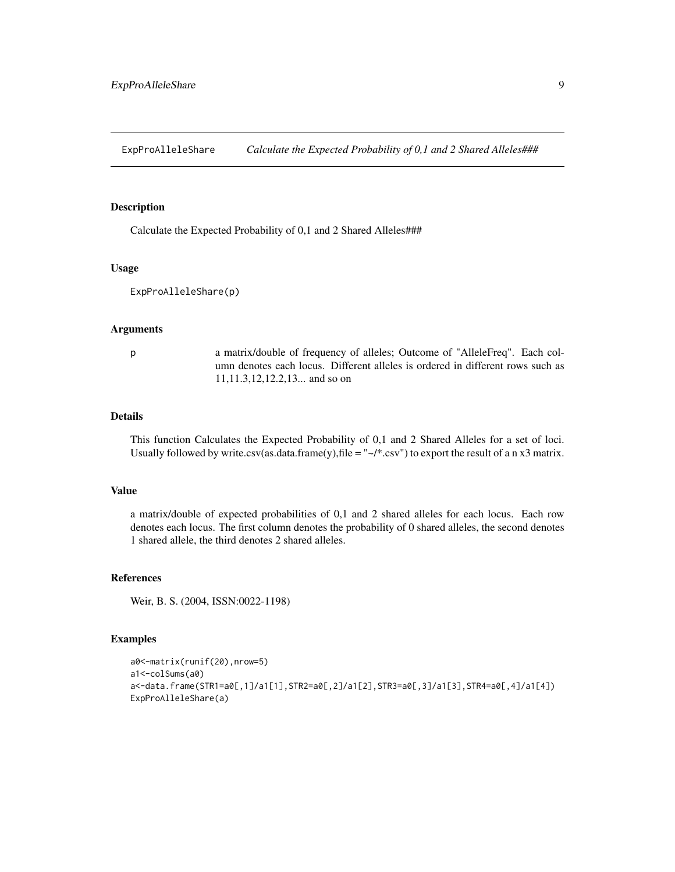<span id="page-8-0"></span>ExpProAlleleShare *Calculate the Expected Probability of 0,1 and 2 Shared Alleles###*

#### Description

Calculate the Expected Probability of 0,1 and 2 Shared Alleles###

#### Usage

ExpProAlleleShare(p)

#### Arguments

p a matrix/double of frequency of alleles; Outcome of "AlleleFreq". Each column denotes each locus. Different alleles is ordered in different rows such as 11,11.3,12,12.2,13... and so on

#### Details

This function Calculates the Expected Probability of 0,1 and 2 Shared Alleles for a set of loci. Usually followed by write.csv(as.data.frame(y),file = " $\sim$ /\*.csv") to export the result of a n x3 matrix.

#### Value

a matrix/double of expected probabilities of 0,1 and 2 shared alleles for each locus. Each row denotes each locus. The first column denotes the probability of 0 shared alleles, the second denotes 1 shared allele, the third denotes 2 shared alleles.

#### References

Weir, B. S. (2004, ISSN:0022-1198)

```
a0<-matrix(runif(20),nrow=5)
a1<-colSums(a0)
a<-data.frame(STR1=a0[,1]/a1[1],STR2=a0[,2]/a1[2],STR3=a0[,3]/a1[3],STR4=a0[,4]/a1[4])
ExpProAlleleShare(a)
```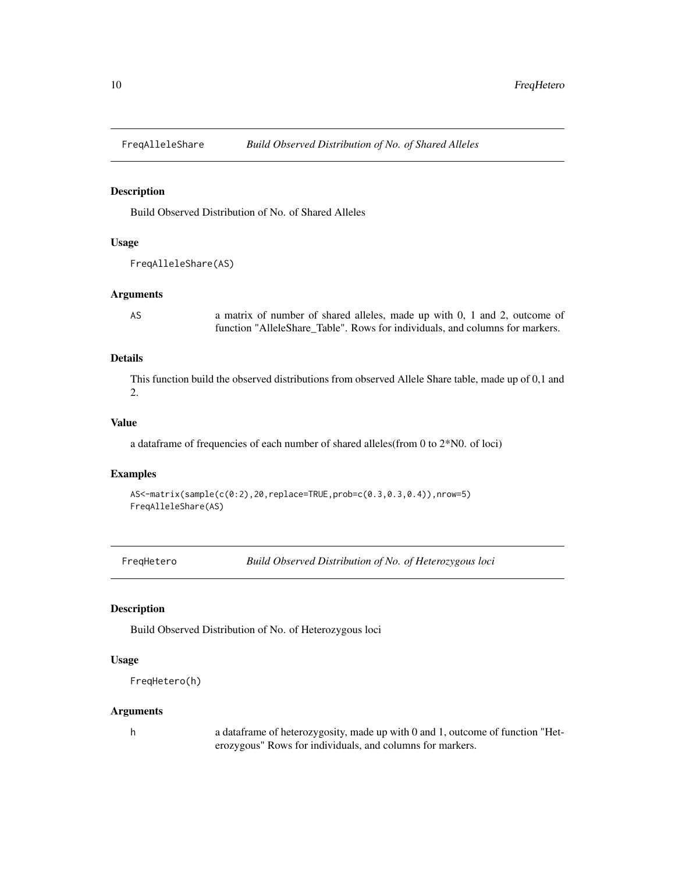<span id="page-9-0"></span>

Build Observed Distribution of No. of Shared Alleles

## Usage

```
FreqAlleleShare(AS)
```
## Arguments

AS a matrix of number of shared alleles, made up with 0, 1 and 2, outcome of function "AlleleShare Table". Rows for individuals, and columns for markers.

## Details

This function build the observed distributions from observed Allele Share table, made up of 0,1 and 2.

## Value

a dataframe of frequencies of each number of shared alleles(from 0 to 2\*N0. of loci)

#### Examples

```
AS<-matrix(sample(c(0:2),20,replace=TRUE,prob=c(0.3,0.3,0.4)),nrow=5)
FreqAlleleShare(AS)
```
FreqHetero *Build Observed Distribution of No. of Heterozygous loci*

#### Description

Build Observed Distribution of No. of Heterozygous loci

## Usage

```
FreqHetero(h)
```
#### **Arguments**

h a dataframe of heterozygosity, made up with 0 and 1, outcome of function "Heterozygous" Rows for individuals, and columns for markers.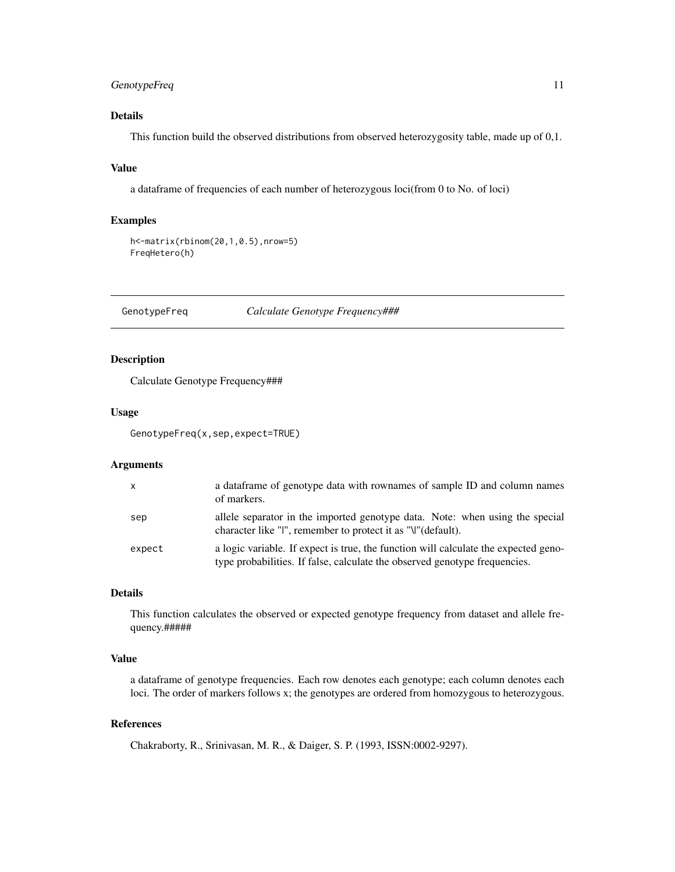## <span id="page-10-0"></span>GenotypeFreq 11

## Details

This function build the observed distributions from observed heterozygosity table, made up of 0,1.

#### Value

a dataframe of frequencies of each number of heterozygous loci(from 0 to No. of loci)

#### Examples

```
h<-matrix(rbinom(20,1,0.5),nrow=5)
FreqHetero(h)
```
GenotypeFreq *Calculate Genotype Frequency###*

## Description

Calculate Genotype Frequency###

#### Usage

GenotypeFreq(x,sep,expect=TRUE)

#### Arguments

| $\mathsf{x}$ | a data frame of genotype data with rownames of sample ID and column names<br>of markers.                                                                          |
|--------------|-------------------------------------------------------------------------------------------------------------------------------------------------------------------|
| sep          | allele separator in the imported genotype data. Note: when using the special<br>character like "I", remember to protect it as "\"(default).                       |
| expect       | a logic variable. If expect is true, the function will calculate the expected geno-<br>type probabilities. If false, calculate the observed genotype frequencies. |

#### Details

This function calculates the observed or expected genotype frequency from dataset and allele frequency.#####

## Value

a dataframe of genotype frequencies. Each row denotes each genotype; each column denotes each loci. The order of markers follows x; the genotypes are ordered from homozygous to heterozygous.

#### References

Chakraborty, R., Srinivasan, M. R., & Daiger, S. P. (1993, ISSN:0002-9297).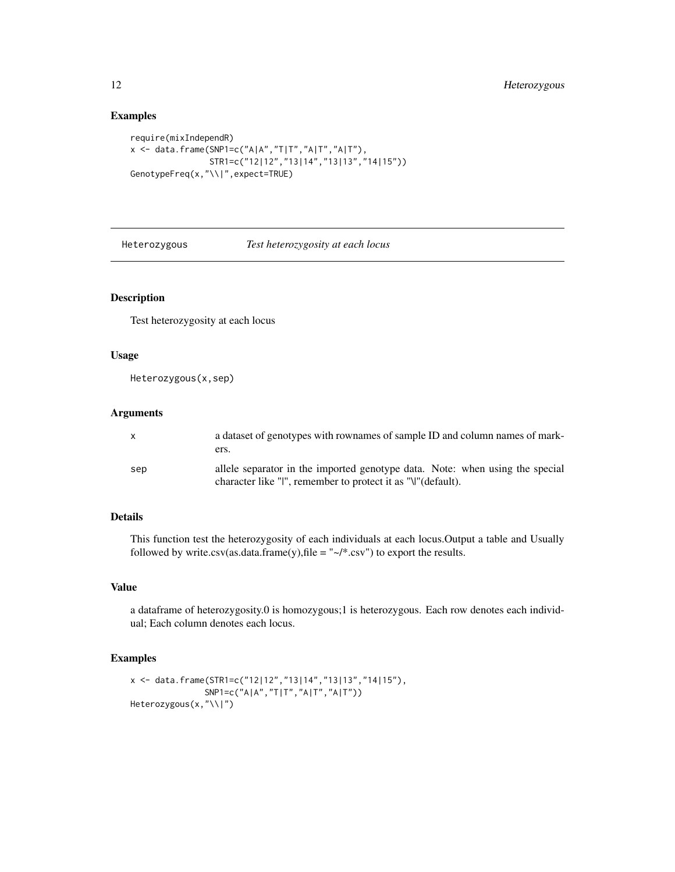## Examples

```
require(mixIndependR)
x <- data.frame(SNP1=c("A|A","T|T","A|T","A|T"),
                STR1=c("12|12","13|14","13|13","14|15"))
GenotypeFreq(x,"\\|",expect=TRUE)
```
Heterozygous *Test heterozygosity at each locus*

## Description

Test heterozygosity at each locus

#### Usage

Heterozygous(x,sep)

#### Arguments

| $\mathsf{X}$ | a dataset of genotypes with rownames of sample ID and column names of mark-<br>ers.                                                          |
|--------------|----------------------------------------------------------------------------------------------------------------------------------------------|
| sep          | allele separator in the imported genotype data. Note: when using the special<br>character like "I", remember to protect it as "\" (default). |

## Details

This function test the heterozygosity of each individuals at each locus.Output a table and Usually followed by write.csv(as.data.frame(y), file = " $\sim$ /\*.csv") to export the results.

## Value

a dataframe of heterozygosity.0 is homozygous;1 is heterozygous. Each row denotes each individual; Each column denotes each locus.

```
x <- data.frame(STR1=c("12|12","13|14","13|13","14|15"),
              SNP1=c("A|A","T|T","A|T","A|T"))
Heterozygous(x,"\\|")
```
<span id="page-11-0"></span>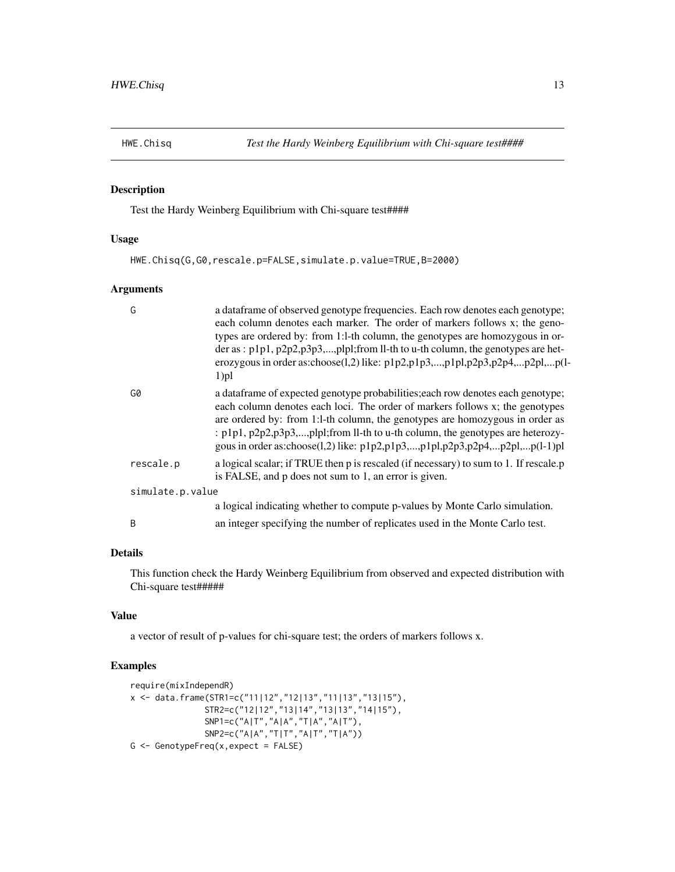<span id="page-12-0"></span>

Test the Hardy Weinberg Equilibrium with Chi-square test####

## Usage

HWE.Chisq(G,G0,rescale.p=FALSE,simulate.p.value=TRUE,B=2000)

## Arguments

| G                | a dataframe of observed genotype frequencies. Each row denotes each genotype;<br>each column denotes each marker. The order of markers follows x; the geno-<br>types are ordered by: from 1:1-th column, the genotypes are homozygous in or-<br>der as: p1p1, p2p2,p3p3,,plpl;from ll-th to u-th column, the genotypes are het-<br>erozygous in order as: $choose(1,2)$ like: $p1p2,p1p3,,p1p1,p2p3,p2p4,p2p1,p(1-$<br>$1$ ) $pl$ |
|------------------|-----------------------------------------------------------------------------------------------------------------------------------------------------------------------------------------------------------------------------------------------------------------------------------------------------------------------------------------------------------------------------------------------------------------------------------|
| G0               | a dataframe of expected genotype probabilities; each row denotes each genotype;<br>each column denotes each loci. The order of markers follows x; the genotypes<br>are ordered by: from 1:1-th column, the genotypes are homozygous in order as<br>: p1p1, p2p2,p3p3,,plp1;from 11-th to u-th column, the genotypes are heterozy-<br>gous in order as: $choose(1,2)$ like: $p1p2,p1p3,,p1p1,p2p3,p2p4,p2p1,p(l-1)p1$              |
| rescale.p        | a logical scalar; if TRUE then p is rescaled (if necessary) to sum to 1. If rescale.p<br>is FALSE, and p does not sum to 1, an error is given.                                                                                                                                                                                                                                                                                    |
| simulate.p.value |                                                                                                                                                                                                                                                                                                                                                                                                                                   |
|                  | a logical indicating whether to compute p-values by Monte Carlo simulation.                                                                                                                                                                                                                                                                                                                                                       |
| B                | an integer specifying the number of replicates used in the Monte Carlo test.                                                                                                                                                                                                                                                                                                                                                      |

## Details

This function check the Hardy Weinberg Equilibrium from observed and expected distribution with Chi-square test#####

#### Value

a vector of result of p-values for chi-square test; the orders of markers follows x.

```
require(mixIndependR)
x <- data.frame(STR1=c("11|12","12|13","11|13","13|15"),
                STR2=c("12|12","13|14","13|13","14|15"),
                SNP1=c("A|T","A|A","T|A","A|T"),
                SNP2=c("A|A","T|T","A|T","T|A"))
G \leftarrow GenotypeFreq(x,expect = FALSE)
```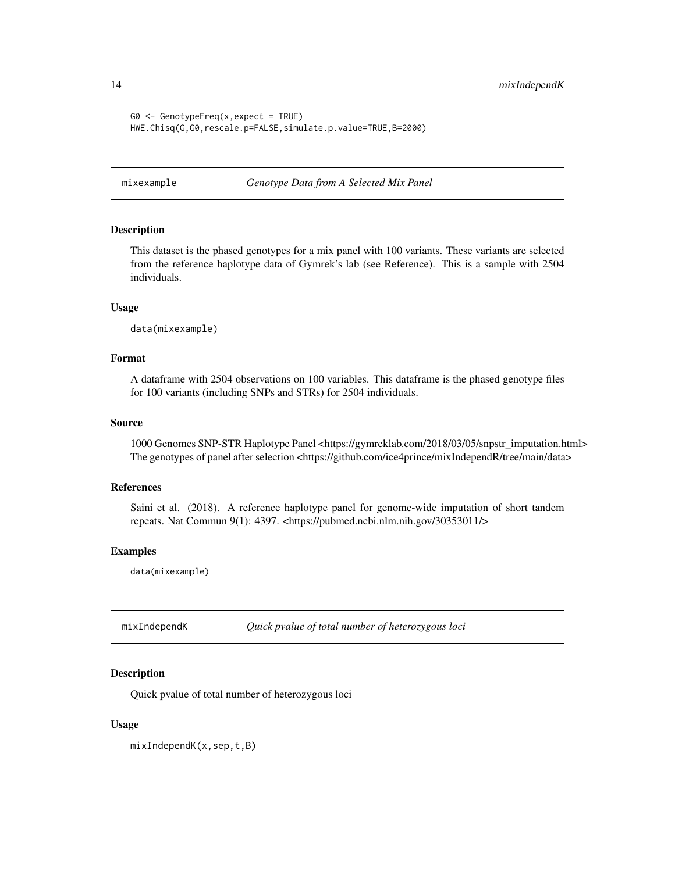<span id="page-13-0"></span>14 mixIndependK

```
G0 \leq - GenotypeFreq(x,expect = TRUE)
HWE.Chisq(G,G0,rescale.p=FALSE,simulate.p.value=TRUE,B=2000)
```
mixexample *Genotype Data from A Selected Mix Panel*

## **Description**

This dataset is the phased genotypes for a mix panel with 100 variants. These variants are selected from the reference haplotype data of Gymrek's lab (see Reference). This is a sample with 2504 individuals.

#### Usage

data(mixexample)

#### Format

A dataframe with 2504 observations on 100 variables. This dataframe is the phased genotype files for 100 variants (including SNPs and STRs) for 2504 individuals.

#### Source

1000 Genomes SNP-STR Haplotype Panel <https://gymreklab.com/2018/03/05/snpstr\_imputation.html> The genotypes of panel after selection <https://github.com/ice4prince/mixIndependR/tree/main/data>

#### References

Saini et al. (2018). A reference haplotype panel for genome-wide imputation of short tandem repeats. Nat Commun 9(1): 4397. <https://pubmed.ncbi.nlm.nih.gov/30353011/>

#### Examples

data(mixexample)

mixIndependK *Quick pvalue of total number of heterozygous loci*

#### **Description**

Quick pvalue of total number of heterozygous loci

#### Usage

mixIndependK(x,sep,t,B)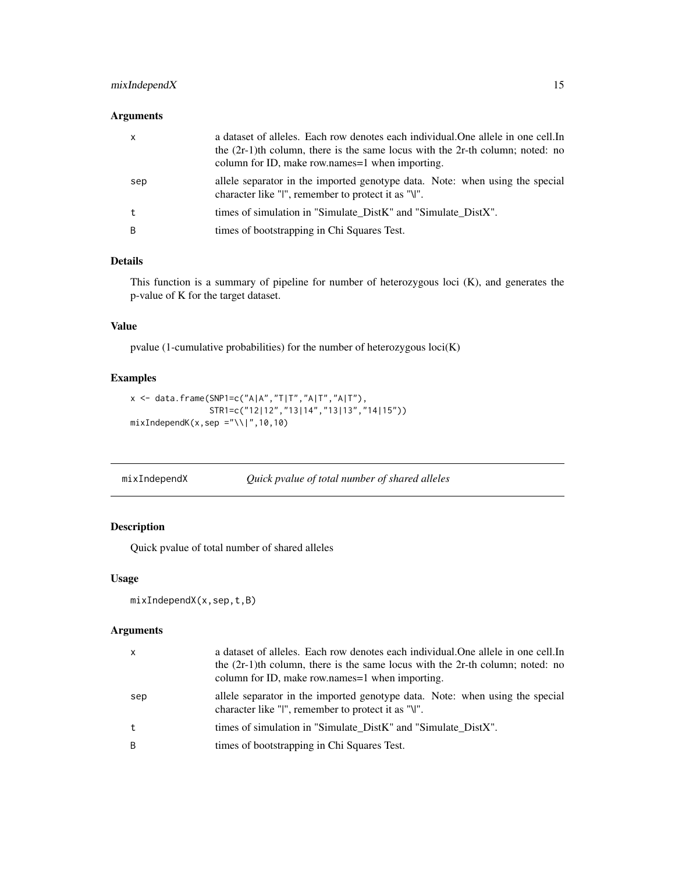## <span id="page-14-0"></span>mixIndependX 15

## Arguments

| $\mathsf{x}$ | a dataset of alleles. Each row denotes each individual. One allele in one cell. In<br>the $(2r-1)$ th column, there is the same locus with the $2r$ -th column; noted: no<br>column for ID, make row.names=1 when importing. |
|--------------|------------------------------------------------------------------------------------------------------------------------------------------------------------------------------------------------------------------------------|
| sep          | allele separator in the imported genotype data. Note: when using the special<br>character like "I", remember to protect it as "\I".                                                                                          |
|              | times of simulation in "Simulate DistK" and "Simulate DistX".                                                                                                                                                                |
| B            | times of bootstrapping in Chi Squares Test.                                                                                                                                                                                  |

## Details

This function is a summary of pipeline for number of heterozygous loci (K), and generates the p-value of K for the target dataset.

#### Value

pvalue (1-cumulative probabilities) for the number of heterozygous loci(K)

#### Examples

```
x <- data.frame(SNP1=c("A|A","T|T","A|T","A|T"),
               STR1=c("12|12","13|14","13|13","14|15"))
mixIndeed(K(x,sep = "\\\|",10,10)
```

| mixIndependX |  | Quick pvalue of total number of shared alleles |
|--------------|--|------------------------------------------------|
|--------------|--|------------------------------------------------|

## Description

Quick pvalue of total number of shared alleles

#### Usage

```
mixIndependX(x,sep,t,B)
```
#### Arguments

| X            | a dataset of alleles. Each row denotes each individual. One allele in one cell. In<br>the $(2r-1)$ th column, there is the same locus with the 2r-th column; noted: no<br>column for ID, make row names = 1 when importing. |
|--------------|-----------------------------------------------------------------------------------------------------------------------------------------------------------------------------------------------------------------------------|
| sep          | allele separator in the imported genotype data. Note: when using the special<br>character like "I", remember to protect it as "\".                                                                                          |
| $^{\dagger}$ | times of simulation in "Simulate DistK" and "Simulate DistX".                                                                                                                                                               |
| B            | times of bootstrapping in Chi Squares Test.                                                                                                                                                                                 |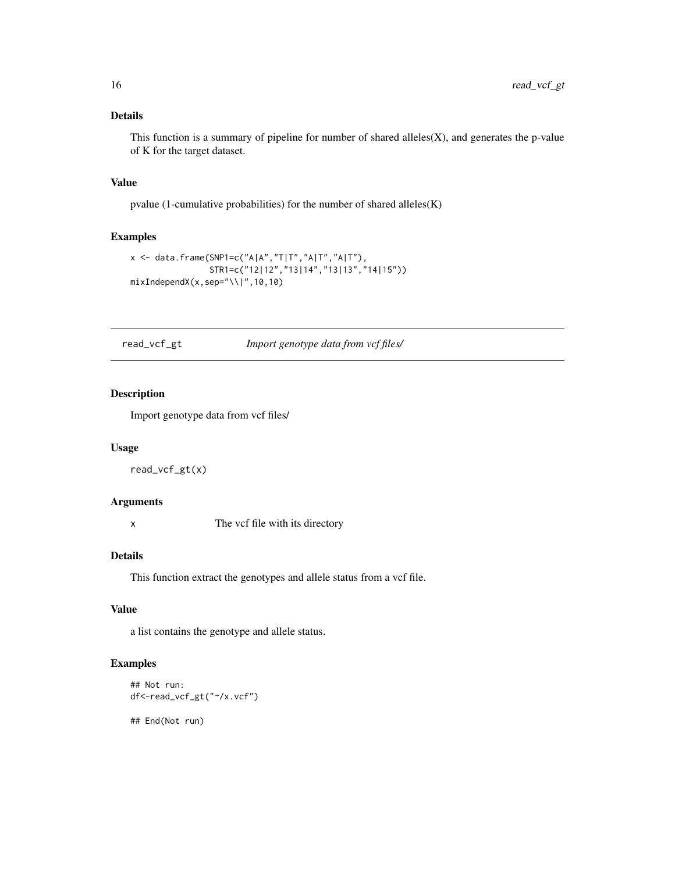## <span id="page-15-0"></span>Details

This function is a summary of pipeline for number of shared alleles $(X)$ , and generates the p-value of K for the target dataset.

#### Value

pvalue (1-cumulative probabilities) for the number of shared alleles(K)

### Examples

```
x \le - data.frame(SNP1=c("A|A","T|T","A|T","A|T"),
                  STR1=c("12|12","13|14","13|13","14|15"))
mixIndex(x, sep='\\ \lvert \lvert \rvert, 10,10)
```
read\_vcf\_gt *Import genotype data from vcf files/*

## Description

Import genotype data from vcf files/

### Usage

read\_vcf\_gt(x)

#### Arguments

x The vcf file with its directory

#### Details

This function extract the genotypes and allele status from a vcf file.

#### Value

a list contains the genotype and allele status.

#### Examples

```
## Not run:
df<-read_vcf_gt("~/x.vcf")
```
## End(Not run)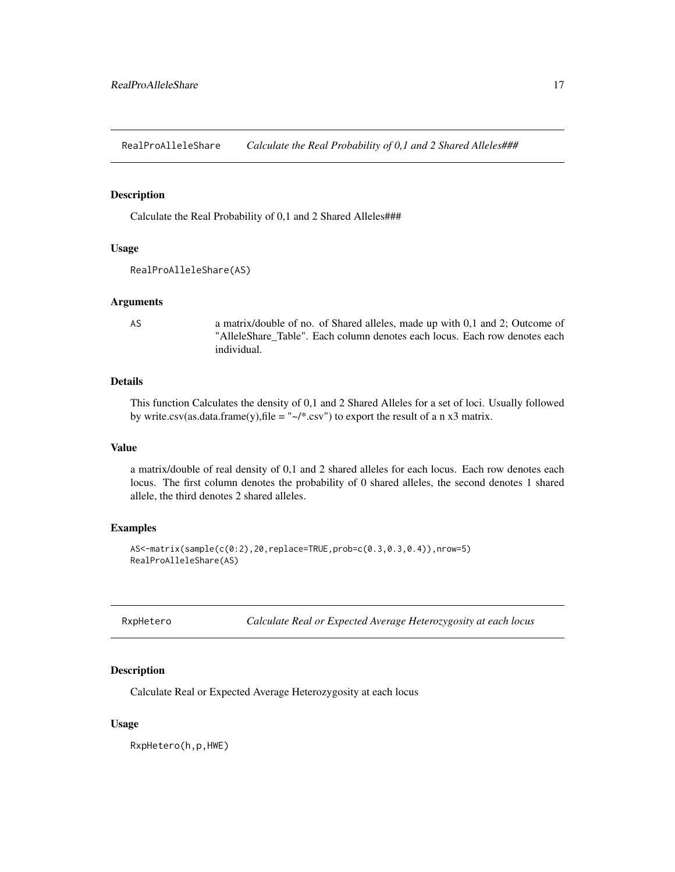<span id="page-16-0"></span>RealProAlleleShare *Calculate the Real Probability of 0,1 and 2 Shared Alleles###*

#### Description

Calculate the Real Probability of 0,1 and 2 Shared Alleles###

## Usage

```
RealProAlleleShare(AS)
```
#### Arguments

AS a matrix/double of no. of Shared alleles, made up with 0,1 and 2; Outcome of "AlleleShare\_Table". Each column denotes each locus. Each row denotes each individual.

## Details

This function Calculates the density of 0,1 and 2 Shared Alleles for a set of loci. Usually followed by write.csv(as.data.frame(y), file = " $\sim$ /\*.csv") to export the result of a n x3 matrix.

### Value

a matrix/double of real density of 0,1 and 2 shared alleles for each locus. Each row denotes each locus. The first column denotes the probability of 0 shared alleles, the second denotes 1 shared allele, the third denotes 2 shared alleles.

#### Examples

```
AS<-matrix(sample(c(0:2),20,replace=TRUE,prob=c(0.3,0.3,0.4)),nrow=5)
RealProAlleleShare(AS)
```

| RxpHetero |  |
|-----------|--|
|-----------|--|

Calculate Real or Expected Average Heterozygosity at each locus

#### Description

Calculate Real or Expected Average Heterozygosity at each locus

#### Usage

RxpHetero(h,p,HWE)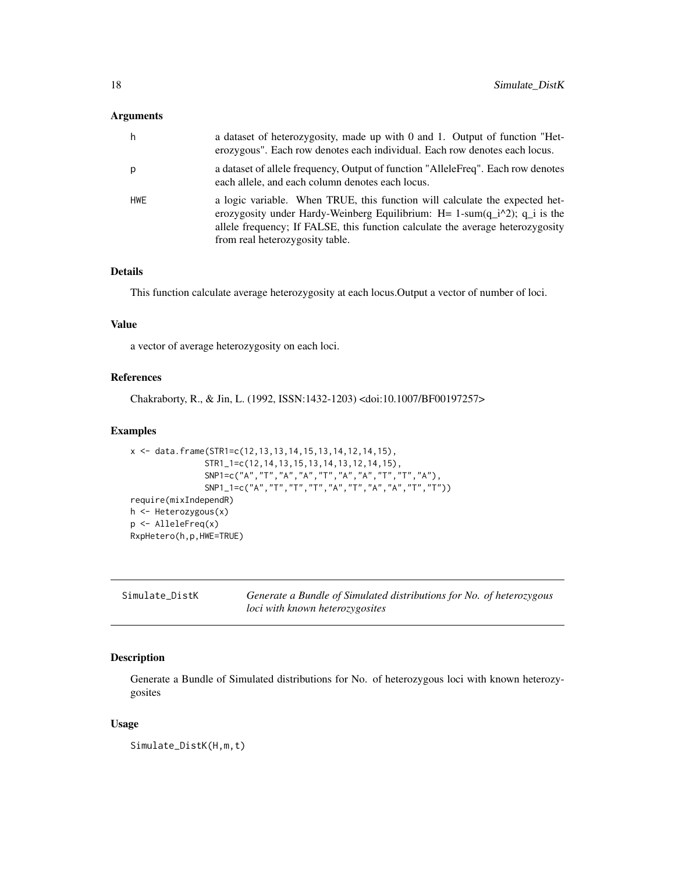## <span id="page-17-0"></span>Arguments

| h   | a dataset of heterozygosity, made up with 0 and 1. Output of function "Het-<br>erozygous". Each row denotes each individual. Each row denotes each locus.                                                                                                                         |
|-----|-----------------------------------------------------------------------------------------------------------------------------------------------------------------------------------------------------------------------------------------------------------------------------------|
| p   | a dataset of allele frequency, Output of function "AlleleFreq". Each row denotes<br>each allele, and each column denotes each locus.                                                                                                                                              |
| HWE | a logic variable. When TRUE, this function will calculate the expected het-<br>erozygosity under Hardy-Weinberg Equilibrium: $H = 1$ -sum(q_i^2); q_i is the<br>allele frequency; If FALSE, this function calculate the average heterozygosity<br>from real heterozygosity table. |

## Details

This function calculate average heterozygosity at each locus.Output a vector of number of loci.

#### Value

a vector of average heterozygosity on each loci.

#### References

Chakraborty, R., & Jin, L. (1992, ISSN:1432-1203) <doi:10.1007/BF00197257>

#### Examples

```
x <- data.frame(STR1=c(12,13,13,14,15,13,14,12,14,15),
               STR1_1=c(12,14,13,15,13,14,13,12,14,15),
               SNP1=c("A","T","A","A","T","A","A","T","T","A"),
               SNP1_1=c("A","T","T","T","A","T","A","A","T","T"))
require(mixIndependR)
h <- Heterozygous(x)
p <- AlleleFreq(x)
RxpHetero(h,p,HWE=TRUE)
```

| Simulate_DistK | Generate a Bundle of Simulated distributions for No. of heterozygous |  |
|----------------|----------------------------------------------------------------------|--|
|                | <i>loci with known heterozygosites</i>                               |  |

## Description

Generate a Bundle of Simulated distributions for No. of heterozygous loci with known heterozygosites

#### Usage

Simulate\_DistK(H,m,t)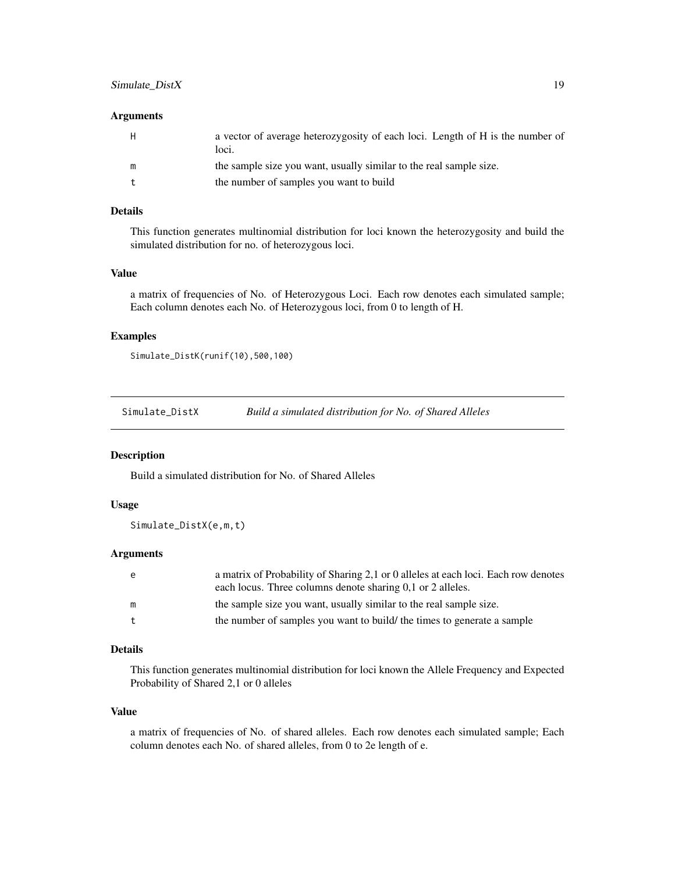#### <span id="page-18-0"></span>Arguments

| H | a vector of average heterozygosity of each loci. Length of H is the number of<br>loci. |
|---|----------------------------------------------------------------------------------------|
| m | the sample size you want, usually similar to the real sample size.                     |
|   | the number of samples you want to build                                                |

## Details

This function generates multinomial distribution for loci known the heterozygosity and build the simulated distribution for no. of heterozygous loci.

#### Value

a matrix of frequencies of No. of Heterozygous Loci. Each row denotes each simulated sample; Each column denotes each No. of Heterozygous loci, from 0 to length of H.

## Examples

Simulate\_DistK(runif(10),500,100)

Simulate\_DistX *Build a simulated distribution for No. of Shared Alleles*

#### Description

Build a simulated distribution for No. of Shared Alleles

#### Usage

Simulate\_DistX(e,m,t)

#### Arguments

| e | a matrix of Probability of Sharing 2,1 or 0 alleles at each loci. Each row denotes |
|---|------------------------------------------------------------------------------------|
|   | each locus. Three columns denote sharing 0.1 or 2 alleles.                         |
| m | the sample size you want, usually similar to the real sample size.                 |
|   | the number of samples you want to build/ the times to generate a sample            |
|   |                                                                                    |

## Details

This function generates multinomial distribution for loci known the Allele Frequency and Expected Probability of Shared 2,1 or 0 alleles

#### Value

a matrix of frequencies of No. of shared alleles. Each row denotes each simulated sample; Each column denotes each No. of shared alleles, from 0 to 2e length of e.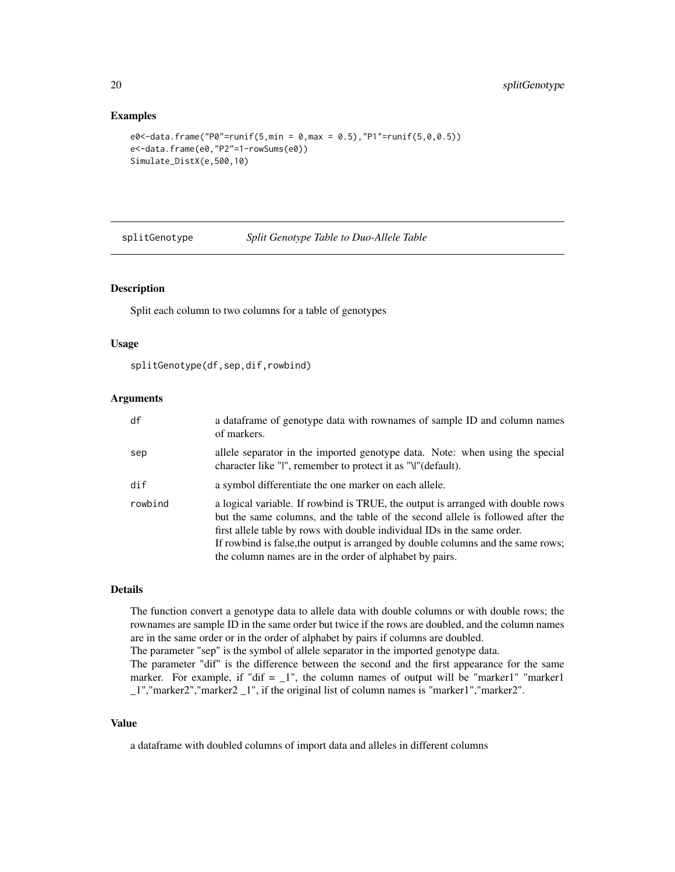#### Examples

```
e0<-data.frame("P0"=runif(5,min = 0,max = 0.5),"P1"=runif(5,0,0.5))
e<-data.frame(e0,"P2"=1-rowSums(e0))
Simulate_DistX(e,500,10)
```
splitGenotype *Split Genotype Table to Duo-Allele Table*

#### Description

Split each column to two columns for a table of genotypes

#### Usage

splitGenotype(df,sep,dif,rowbind)

#### Arguments

| df                          | a dataframe of genotype data with rownames of sample ID and column names<br>of markers.                                                                                                                                                                                                                                                                                                      |
|-----------------------------|----------------------------------------------------------------------------------------------------------------------------------------------------------------------------------------------------------------------------------------------------------------------------------------------------------------------------------------------------------------------------------------------|
| sep                         | allele separator in the imported genotype data. Note: when using the special<br>character like "I", remember to protect it as "\I"(default).                                                                                                                                                                                                                                                 |
| $\mathsf{dif}^{\mathsf{f}}$ | a symbol differentiate the one marker on each allele.                                                                                                                                                                                                                                                                                                                                        |
| rowbind                     | a logical variable. If rowbind is TRUE, the output is arranged with double rows<br>but the same columns, and the table of the second allele is followed after the<br>first allele table by rows with double individual IDs in the same order.<br>If rowbind is false, the output is arranged by double columns and the same rows;<br>the column names are in the order of alphabet by pairs. |

## Details

The function convert a genotype data to allele data with double columns or with double rows; the rownames are sample ID in the same order but twice if the rows are doubled, and the column names are in the same order or in the order of alphabet by pairs if columns are doubled.

The parameter "sep" is the symbol of allele separator in the imported genotype data.

The parameter "dif" is the difference between the second and the first appearance for the same marker. For example, if "dif  $= 1$ ", the column names of output will be "marker1" "marker1 \_1","marker2","marker2 \_1", if the original list of column names is "marker1","marker2".

#### Value

a dataframe with doubled columns of import data and alleles in different columns

<span id="page-19-0"></span>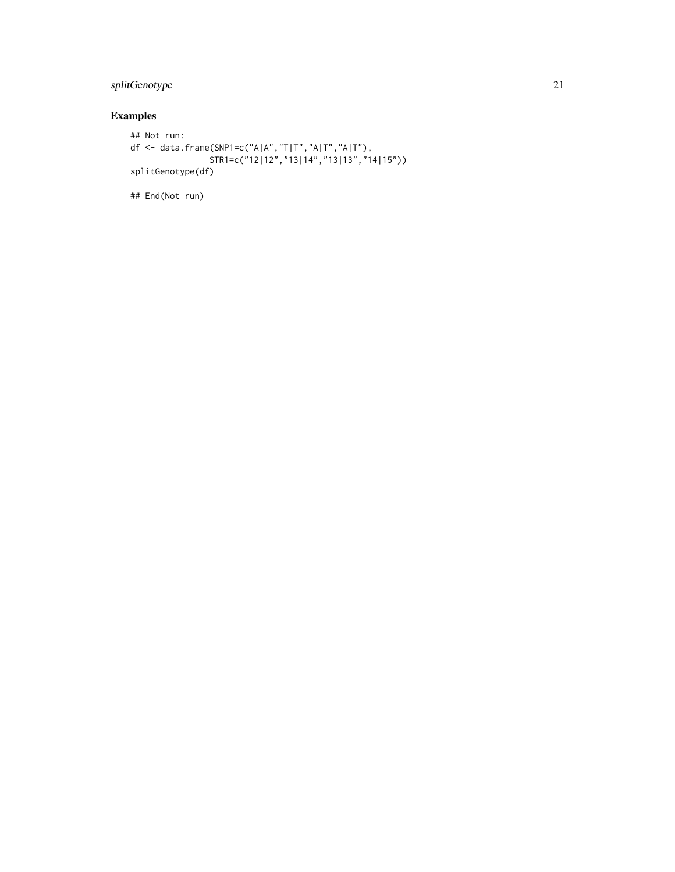## splitGenotype 21

## Examples

```
## Not run:
df <- data.frame(SNP1=c("A|A","T|T","A|T","A|T"),
                STR1=c("12|12","13|14","13|13","14|15"))
splitGenotype(df)
```
## End(Not run)